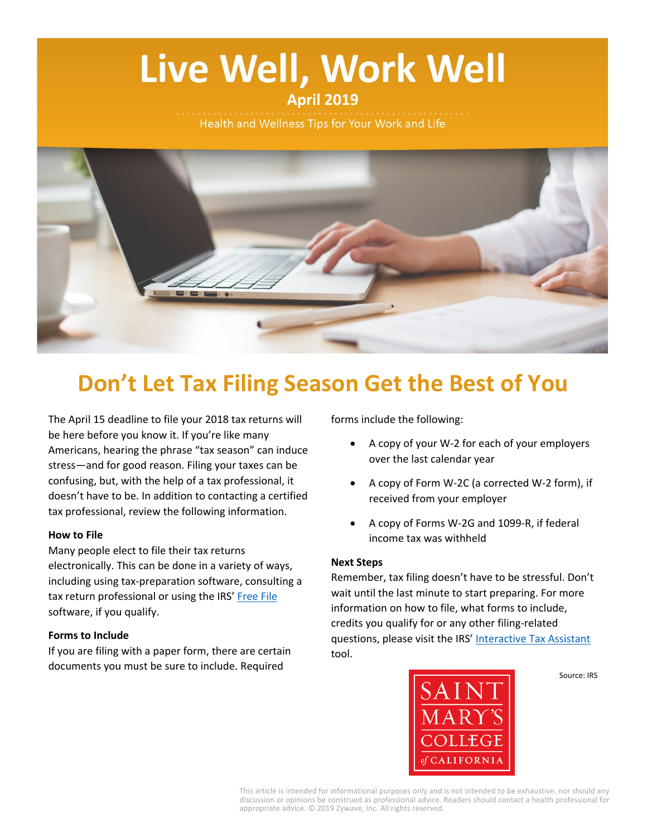# Live Well, Work Well **April 2019**

Health and Wellness Tips for Your Work and Life



# **Don't Let Tax Filing Season Get the Best of You**

The April 15 deadline to file your 2018 tax returns will be here before you know it. If you're like many Americans, hearing the phrase "tax season" can induce stress—and for good reason. Filing your taxes can be confusing, but, with the help of a tax professional, it doesn't have to be. In addition to contacting a certified tax professional, review the following information.

#### **How to File**

Many people elect to file their tax returns electronically. This can be done in a variety of ways, including using tax-preparation software, consulting a tax return professional or using the IRS' [Free File](https://www.irs.gov/uac/free-file-do-your-federal-taxes-for-free) software, if you qualify.

#### **Forms to Include**

If you are filing with a paper form, there are certain documents you must be sure to include. Required

forms include the following:

- A copy of your W-2 for each of your employers over the last calendar year
- A copy of Form W-2C (a corrected W-2 form), if received from your employer
- A copy of Forms W-2G and 1099-R, if federal income tax was withheld

#### **Next Steps**

Remember, tax filing doesn't have to be stressful. Don't wait until the last minute to start preparing. For more information on how to file, what forms to include, credits you qualify for or any other filing-related questions, please visit the IRS' [Interactive Tax Assistant](https://www.irs.gov/uac/interactive-tax-assistant-ita-1) tool.



Source: IRS

This article is intended for informational purposes only and is not intended to be exhaustive, nor should any discussion or opinions be construed as professional advice. Readers should contact a health professional for appropriate advice. © 2019 Zywave, Inc. All rights reserved.